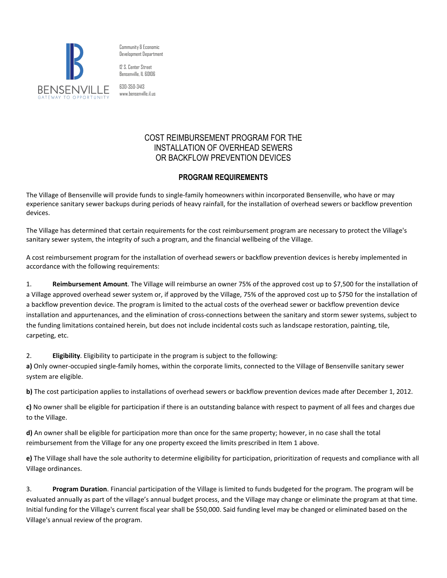

Community & Economic Development Department

12 S. Center Street Bensenville, IL 60106

630-350-3413 www.bensenville.il.us

## COST REIMBURSEMENT PROGRAM FOR THE INSTALLATION OF OVERHEAD SEWERS OR BACKFLOW PREVENTION DEVICES

## **PROGRAM REQUIREMENTS**

The Village of Bensenville will provide funds to single-family homeowners within incorporated Bensenville, who have or may experience sanitary sewer backups during periods of heavy rainfall, for the installation of overhead sewers or backflow prevention devices.

The Village has determined that certain requirements for the cost reimbursement program are necessary to protect the Village's sanitary sewer system, the integrity of such a program, and the financial wellbeing of the Village.

A cost reimbursement program for the installation of overhead sewers or backflow prevention devices is hereby implemented in accordance with the following requirements:

1. **Reimbursement Amount**. The Village will reimburse an owner 75% of the approved cost up to \$7,500 for the installation of a Village approved overhead sewer system or, if approved by the Village, 75% of the approved cost up to \$750 for the installation of a backflow prevention device. The program is limited to the actual costs of the overhead sewer or backflow prevention device installation and appurtenances, and the elimination of cross-connections between the sanitary and storm sewer systems, subject to the funding limitations contained herein, but does not include incidental costs such as landscape restoration, painting, tile, carpeting, etc.

2. **Eligibility**. Eligibility to participate in the program is subject to the following:

**a)** Only owner-occupied single-family homes, within the corporate limits, connected to the Village of Bensenville sanitary sewer system are eligible.

**b)** The cost participation applies to installations of overhead sewers or backflow prevention devices made after December 1, 2012.

**c)** No owner shall be eligible for participation if there is an outstanding balance with respect to payment of all fees and charges due to the Village.

**d)** An owner shall be eligible for participation more than once for the same property; however, in no case shall the total reimbursement from the Village for any one property exceed the limits prescribed in Item 1 above.

**e)** The Village shall have the sole authority to determine eligibility for participation, prioritization of requests and compliance with all Village ordinances.

3. **Program Duration**. Financial participation of the Village is limited to funds budgeted for the program. The program will be evaluated annually as part of the village's annual budget process, and the Village may change or eliminate the program at that time. Initial funding for the Village's current fiscal year shall be \$50,000. Said funding level may be changed or eliminated based on the Village's annual review of the program.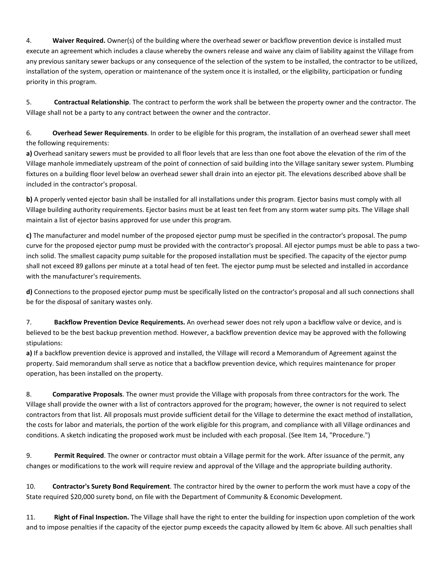4. **Waiver Required.** Owner(s) of the building where the overhead sewer or backflow prevention device is installed must execute an agreement which includes a clause whereby the owners release and waive any claim of liability against the Village from any previous sanitary sewer backups or any consequence of the selection of the system to be installed, the contractor to be utilized, installation of the system, operation or maintenance of the system once it is installed, or the eligibility, participation or funding priority in this program.

5. **Contractual Relationship**. The contract to perform the work shall be between the property owner and the contractor. The Village shall not be a party to any contract between the owner and the contractor.

6. **Overhead Sewer Requirements**. In order to be eligible for this program, the installation of an overhead sewer shall meet the following requirements:

**a)** Overhead sanitary sewers must be provided to all floor levels that are less than one foot above the elevation of the rim of the Village manhole immediately upstream of the point of connection of said building into the Village sanitary sewer system. Plumbing fixtures on a building floor level below an overhead sewer shall drain into an ejector pit. The elevations described above shall be included in the contractor's proposal.

**b)** A properly vented ejector basin shall be installed for all installations under this program. Ejector basins must comply with all Village building authority requirements. Ejector basins must be at least ten feet from any storm water sump pits. The Village shall maintain a list of ejector basins approved for use under this program.

**c)** The manufacturer and model number of the proposed ejector pump must be specified in the contractor's proposal. The pump curve for the proposed ejector pump must be provided with the contractor's proposal. All ejector pumps must be able to pass a twoinch solid. The smallest capacity pump suitable for the proposed installation must be specified. The capacity of the ejector pump shall not exceed 89 gallons per minute at a total head of ten feet. The ejector pump must be selected and installed in accordance with the manufacturer's requirements.

**d)** Connections to the proposed ejector pump must be specifically listed on the contractor's proposal and all such connections shall be for the disposal of sanitary wastes only.

7. **Backflow Prevention Device Requirements.** An overhead sewer does not rely upon a backflow valve or device, and is believed to be the best backup prevention method. However, a backflow prevention device may be approved with the following stipulations:

**a)** If a backflow prevention device is approved and installed, the Village will record a Memorandum of Agreement against the property. Said memorandum shall serve as notice that a backflow prevention device, which requires maintenance for proper operation, has been installed on the property.

8. **Comparative Proposals**. The owner must provide the Village with proposals from three contractors for the work. The Village shall provide the owner with a list of contractors approved for the program; however, the owner is not required to select contractors from that list. All proposals must provide sufficient detail for the Village to determine the exact method of installation, the costs for labor and materials, the portion of the work eligible for this program, and compliance with all Village ordinances and conditions. A sketch indicating the proposed work must be included with each proposal. (See Item 14, "Procedure.")

9. **Permit Required**. The owner or contractor must obtain a Village permit for the work. After issuance of the permit, any changes or modifications to the work will require review and approval of the Village and the appropriate building authority.

10. **Contractor's Surety Bond Requirement**. The contractor hired by the owner to perform the work must have a copy of the State required \$20,000 surety bond, on file with the Department of Community & Economic Development.

11. **Right of Final Inspection.** The Village shall have the right to enter the building for inspection upon completion of the work and to impose penalties if the capacity of the ejector pump exceeds the capacity allowed by Item 6c above. All such penalties shall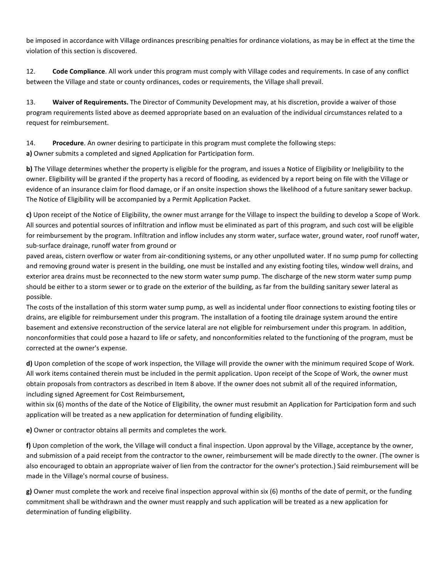be imposed in accordance with Village ordinances prescribing penalties for ordinance violations, as may be in effect at the time the violation of this section is discovered.

12. **Code Compliance**. All work under this program must comply with Village codes and requirements. In case of any conflict between the Village and state or county ordinances, codes or requirements, the Village shall prevail.

13. **Waiver of Requirements.** The Director of Community Development may, at his discretion, provide a waiver of those program requirements listed above as deemed appropriate based on an evaluation of the individual circumstances related to a request for reimbursement.

14. **Procedure**. An owner desiring to participate in this program must complete the following steps: **a)** Owner submits a completed and signed Application for Participation form.

**b)** The Village determines whether the property is eligible for the program, and issues a Notice of Eligibility or Ineligibility to the owner. Eligibility will be granted if the property has a record of flooding, as evidenced by a report being on file with the Village or evidence of an insurance claim for flood damage, or if an onsite inspection shows the likelihood of a future sanitary sewer backup. The Notice of Eligibility will be accompanied by a Permit Application Packet.

**c)** Upon receipt of the Notice of Eligibility, the owner must arrange for the Village to inspect the building to develop a Scope of Work. All sources and potential sources of infiltration and inflow must be eliminated as part of this program, and such cost will be eligible for reimbursement by the program. Infiltration and inflow includes any storm water, surface water, ground water, roof runoff water, sub-surface drainage, runoff water from ground or

paved areas, cistern overflow or water from air-conditioning systems, or any other unpolluted water. If no sump pump for collecting and removing ground water is present in the building, one must be installed and any existing footing tiles, window well drains, and exterior area drains must be reconnected to the new storm water sump pump. The discharge of the new storm water sump pump should be either to a storm sewer or to grade on the exterior of the building, as far from the building sanitary sewer lateral as possible.

The costs of the installation of this storm water sump pump, as well as incidental under floor connections to existing footing tiles or drains, are eligible for reimbursement under this program. The installation of a footing tile drainage system around the entire basement and extensive reconstruction of the service lateral are not eligible for reimbursement under this program. In addition, nonconformities that could pose a hazard to life or safety, and nonconformities related to the functioning of the program, must be corrected at the owner's expense.

**d)** Upon completion of the scope of work inspection, the Village will provide the owner with the minimum required Scope of Work. All work items contained therein must be included in the permit application. Upon receipt of the Scope of Work, the owner must obtain proposals from contractors as described in Item 8 above. If the owner does not submit all of the required information, including signed Agreement for Cost Reimbursement,

within six (6) months of the date of the Notice of Eligibility, the owner must resubmit an Application for Participation form and such application will be treated as a new application for determination of funding eligibility.

**e)** Owner or contractor obtains all permits and completes the work.

**f)** Upon completion of the work, the Village will conduct a final inspection. Upon approval by the Village, acceptance by the owner, and submission of a paid receipt from the contractor to the owner, reimbursement will be made directly to the owner. (The owner is also encouraged to obtain an appropriate waiver of lien from the contractor for the owner's protection.) Said reimbursement will be made in the Village's normal course of business.

**g)** Owner must complete the work and receive final inspection approval within six (6) months of the date of permit, or the funding commitment shall be withdrawn and the owner must reapply and such application will be treated as a new application for determination of funding eligibility.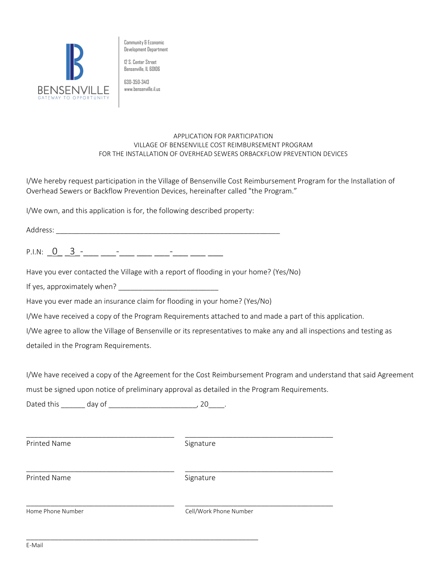

Community & Economic Development Department

12 S. Center Street Bensenville, IL 60106

630-350-3413 www.bensenville.il.us

## APPLICATION FOR PARTICIPATION VILLAGE OF BENSENVILLE COST REIMBURSEMENT PROGRAM FOR THE INSTALLATION OF OVERHEAD SEWERS ORBACKFLOW PREVENTION DEVICES

I/We hereby request participation in the Village of Bensenville Cost Reimbursement Program for the Installation of Overhead Sewers or Backflow Prevention Devices, hereinafter called "the Program."

I/We own, and this application is for, the following described property:

P.I.N:  $0 \overline{3}$  - \_\_\_ \_\_\_ \_\_\_ \_\_\_ \_\_\_ \_\_\_ \_\_\_

Have you ever contacted the Village with a report of flooding in your home? (Yes/No)

If yes, approximately when?

Have you ever made an insurance claim for flooding in your home? (Yes/No)

I/We have received a copy of the Program Requirements attached to and made a part of this application.

I/We agree to allow the Village of Bensenville or its representatives to make any and all inspections and testing as detailed in the Program Requirements.

I/We have received a copy of the Agreement for the Cost Reimbursement Program and understand that said Agreement must be signed upon notice of preliminary approval as detailed in the Program Requirements.

Dated this day of the control of the control of the control of the control of the control of the control of the control of the control of the control of the control of the control of the control of the control of the contr

\_\_\_\_\_\_\_\_\_\_\_\_\_\_\_\_\_\_\_\_\_\_\_\_\_\_\_\_\_\_\_\_\_\_\_\_\_\_\_\_\_\_\_\_\_\_\_\_\_\_\_\_\_\_\_\_\_\_

| Printed Name      | Signature              |
|-------------------|------------------------|
| Printed Name      | Signature              |
| Home Phone Number | Cell/Work Phone Number |